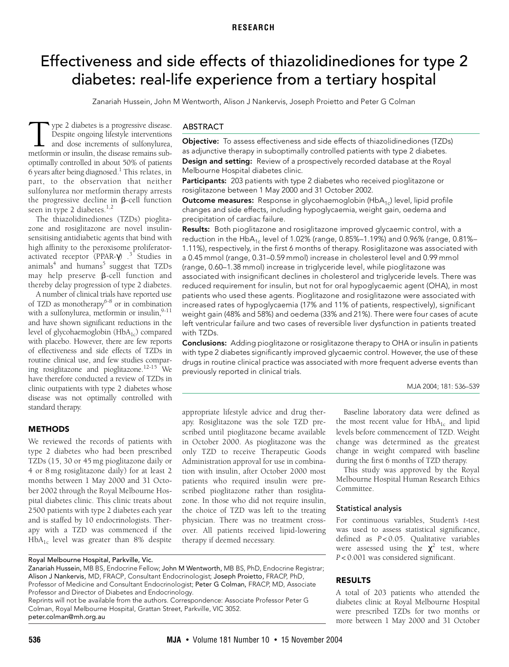# <span id="page-0-0"></span>Effectiveness and side effects of thiazolidinediones for type 2 diabetes: real-life experience from a tertiary hospital

Zanariah Hussein, John M Wentworth, Alison J Nankervis, Joseph Proietto and Peter G Colman

sulfonylurea nor metformin therapy arrests the progressive decline in  $\beta$ -cell function [seen in ty](#page-0-0)pe 2 diabetes. $1,2$  $1,2$ ype 2 diabetes is a progressive disease. Despite ongoing lifestyle interventions and dose increments of sulfonylurea, Type 2 diabetes is a progressive disease.<br>
Despite ongoing lifestyle interventions<br>
and dose increments of sulfonylurea,<br>
metformin or insulin, the disease remains suboptimally controlled in about 50% of patients 6 years after being diagnosed.<sup>1</sup> This relates, in part, to the observation that neither

The thiazolidinediones (TZDs) pioglitazone and rosiglitazone are novel insulinsensitising antidiabetic agents that bind with high affinity to the peroxisome proliferatoractivated receptor (PPAR-γ) .[3](#page-3-2) Studies in animals $^4$  and humans $^5$  suggest that TZDs may help preserve  $\beta$ -cell function and thereby delay progression of type 2 diabetes.

A number of clinical trials have reported use of TZD as monotherapy<sup>6-[8](#page-3-6)</sup> or in combination with a sulfonylurea, metformin or insulin, 9[-11](#page-3-8) and have shown significant reductions in the level of glycohaemoglobin  $(HbA<sub>1c</sub>)$  compared with placebo. However, there are few reports of effectiveness and side effects of TZDs in routine clinical use, and few studies comparing rosiglitazone and pioglitazone.[12](#page-3-9)-[15](#page-3-10) We have therefore conducted a review of TZDs in clinic outpatients with type 2 diabetes whose disease was not optimally controlled with standard therapy.

# **METHODS**

We reviewed the records of patients with type 2 diabetes who had been prescribed TZDs (15, 30 or 45 mg pioglitazone daily or 4 or 8 mg rosiglitazone daily) for at least 2 months between 1 May 2000 and 31 October 2002 through the Royal Melbourne Hospital diabetes clinic. This clinic treats about 2500 patients with type 2 diabetes each year and is staffed by 10 endocrinologists. Therapy with a TZD was commenced if the  $HbA_{1c}$  level was greater than 8% despite

#### Royal Melbourne Hospital, Parkville, Vic.

Zanariah Hussein, MB BS, Endocrine Fellow; John M Wentworth, MB BS, PhD, Endocrine Registrar; Alison J Nankervis, MD, FRACP, Consultant Endocrinologist; Joseph Proietto, FRACP, PhD, Professor of Medicine and Consultant Endocrinologist; Peter G Colman, FRACP, MD, Associate Professor and Director of Diabetes and Endocrinology. Reprints will not be available from the authors. Correspondence: Associate Professor Peter G

Colman, Royal Melbourne Hospital, Grattan Street, Parkville, VIC 3052. peter.colman@mh.org.au

#### ABSTRACT

**Objective:** To assess effectiveness and side effects of thiazolidinediones (TZDs) as adjunctive therapy in suboptimally controlled patients with type 2 diabetes. **Design and setting:** Review of a prospectively recorded database at the Royal Melbourne Hospital diabetes clinic.

Participants: 203 patients with type 2 diabetes who received pioglitazone or rosiglitazone between 1 May 2000 and 31 October 2002.

**[Ou](#page-0-0)tcome measures:** Response in glycohaemoglobin (HbA<sub>1c</sub>) level, lipid profile changes and side effects, including hypoglycaemia, weight gain, oedema and precipitation of cardiac failure.

**Results:** Both pioglitazone and rosiglitazone improved glycaemic control, with a reduction in the HbA<sub>1c</sub> level of 1.02% (range, 0.85%-1.19%) and 0.96% (range, 0.81%-1.11%), respectively, in the first 6 months of therapy. Rosiglitazone was associated with a 0.45 mmol (range, 0.31–0.59 mmol) increase in cholesterol level and 0.99 mmol (range, 0.60–1.38 mmol) increase in triglyceride level, while pioglitazone was associated with insignificant declines in cholesterol and triglyceride levels. There was reduced requirement for insulin, but not for oral hypoglycaemic agent (OHA), in most patients who used these agents. Pioglitazone and rosiglitazone were associated with increased rates of hypoglycaemia (17% and 11% of patients, respectively), significant weight gain (48% and 58%) and oedema (33% and 21%). There were four cases of acute left ventricular failure and two cases of reversible liver dysfunction in patients treated with TZDs.

**Conclusions:** Adding pioglitazone or rosiglitazone therapy to OHA or insulin in patients with type 2 diabetes significantly improved glycaemic control. However, the use of these drugs in routine clinical practice was associated with more frequent adverse events than previously reported in clinical trials.

MJA 2004; 181: 536–539

appropriate lifestyle advice and drug therapy. Rosiglitazone was the sole TZD prescribed until pioglitazone became available in October 2000. As pioglitazone was the only TZD to receive Therapeutic Goods Administration approval for use in combination with insulin, after October 2000 most patients who required insulin were prescribed pioglitazone rather than rosiglitazone. In those who did not require insulin, the choice of TZD was left to the treating physician. There was no treatment crossover. All patients received lipid-lowering therapy if deemed necessary.

Baseline laboratory data were defined as the most recent value for  $HbA_{1c}$  and lipid levels before commencement of TZD. Weight change was determined as the greatest change in weight compared with baseline during the first 6 months of TZD therapy.

This study was approved by the Royal Melbourne Hospital Human Research Ethics Committee.

#### Statistical analysis

For continuous variables, Student's *t*-test was used to assess statistical significance, defined as *P* < 0.05. Qualitative variables were assessed using the  $\chi^2$  test, where *P* < 0.001 was considered significant.

#### **RESULTS**

A total of 203 patients who attended the diabetes clinic at Royal Melbourne Hospital were prescribed TZDs for two months or more between 1 May 2000 and 31 October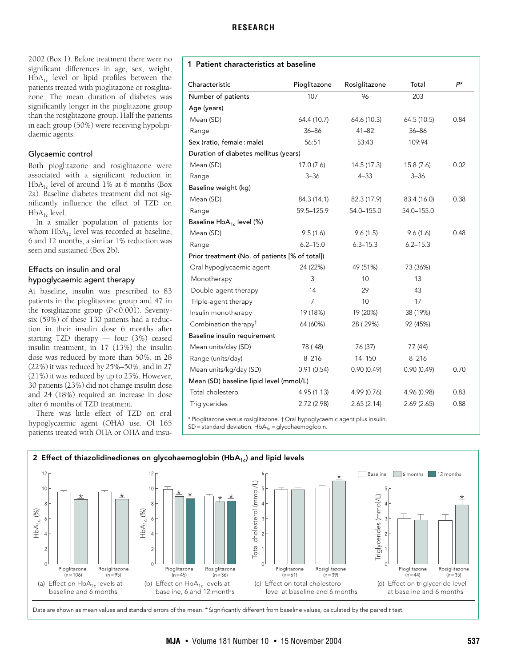2002 ([Box 1](#page-1-0)). Before treatment there were no significant differences in age, sex, weight,  $HbA<sub>1c</sub>$  level or lipid profiles between the patients treated with pioglitazone or rosiglitazone. The mean duration of diabetes was significantly longer in the pioglitazone group than the rosiglitazone group. Half the patients in each group (50%) were receiving hypolipidaemic agents.

# Glycaemic control

Both pioglitazone and rosiglitazone were associated with a significant reduction in  $HbA_{1c}$  level of around 1% at 6 months ([Box](#page-1-1) [2a](#page-1-1)). Baseline diabetes treatment did not significantly influence the effect of TZD on  $HbA_{1c}$  level.

In a smaller population of patients for whom  $HbA_{1c}$  level was recorded at baseline, 6 and 12 months, a similar 1% reduction was seen and sustained [\(Box 2b](#page-1-1)).

# Effects on insulin and oral hypoglycaemic agent therapy

At baseline, insulin was prescribed to 83 patients in the pioglitazone group and 47 in the rosiglitazone group (*P*<0.001). Seventysix (59%) of these 130 patients had a reduction in their insulin dose 6 months after starting TZD therapy — four (3%) ceased insulin treatment, in 17 (13%) the insulin dose was reduced by more than 50%, in 28 (22%) it was reduced by 25%–50%, and in 27 (21%) it was reduced by up to 25%. However, 30 patients (23%) did not change insulin dose and 24 (18%) required an increase in dose after 6 months of TZD treatment.

There was little effect of TZD on oral hypoglycaemic agent (OHA) use. Of 165 patients treated with OHA or OHA and insu-

# <span id="page-1-0"></span>**1 Patient characteristics at baseline**

| Characteristic                                 | Pioglitazone   | Rosiglitazone | Total        | $P^*$ |  |  |  |
|------------------------------------------------|----------------|---------------|--------------|-------|--|--|--|
| Number of patients                             | 107            | 96            | 203          |       |  |  |  |
| Age (years)                                    |                |               |              |       |  |  |  |
| Mean (SD)                                      | 64.4 (10.7)    | 64.6 (10.3)   | 64.5 (10.5)  | 0.84  |  |  |  |
| Range                                          | $36 - 86$      | $41 - 82$     | $36 - 86$    |       |  |  |  |
| Sex (ratio, female: male)                      | 56:51          | 53:43         | 109:94       |       |  |  |  |
| Duration of diabetes mellitus (years)          |                |               |              |       |  |  |  |
| Mean (SD)                                      | 17.0(7.6)      | 14.5 (17.3)   | 15.8(7.6)    | 0.02  |  |  |  |
| Range                                          | $3 - 36$       | $4 - 33$      | $3 - 36$     |       |  |  |  |
| Baseline weight (kg)                           |                |               |              |       |  |  |  |
| Mean (SD)                                      | 84.3 (14.1)    | 82.3 (17.9)   | 83.4 (16.0)  | 0.38  |  |  |  |
| Range                                          | 59.5-125.9     | 54.0-155.0    | 54.0-155.0   |       |  |  |  |
| Baseline HbA <sub>1c</sub> level (%)           |                |               |              |       |  |  |  |
| Mean (SD)                                      | 9.5(1.6)       | 9.6(1.5)      | 9.6(1.6)     | 0.48  |  |  |  |
| Range                                          | $6.2 - 15.0$   | $6.3 - 15.3$  | $6.2 - 15.3$ |       |  |  |  |
| Prior treatment (No. of patients [% of total]) |                |               |              |       |  |  |  |
| Oral hypoglycaemic agent                       | 24 (22%)       | 49 (51%)      | 73 (36%)     |       |  |  |  |
| Monotherapy                                    | 3              | 10            | 13           |       |  |  |  |
| Double-agent therapy                           | 14             | 29            | 43           |       |  |  |  |
| Triple-agent therapy                           | $\overline{7}$ | 10            | 17           |       |  |  |  |
| Insulin monotherapy                            | 19 (18%)       | 19 (20%)      | 38 (19%)     |       |  |  |  |
| Combination therapy <sup>†</sup>               | 64 (60%)       | 28 (29%)      | 92 (45%)     |       |  |  |  |
| Baseline insulin requirement                   |                |               |              |       |  |  |  |
| Mean units/day (SD)                            | 78 (48)        | 76 (37)       | 77 (44)      |       |  |  |  |
| Range (units/day)                              | $8 - 216$      | 14-150        | $8 - 216$    |       |  |  |  |
| Mean units/kg/day (SD)                         | 0.91(0.54)     | 0.90(0.49)    | 0.90(0.49)   | 0.70  |  |  |  |
| Mean (SD) baseline lipid level (mmol/L)        |                |               |              |       |  |  |  |
| Total cholesterol                              | 4.95(1.13)     | 4.99 (0.76)   | 4.96 (0.98)  | 0.83  |  |  |  |
| Triglycerides                                  | 2.72(2.98)     | 2.65(2.14)    | 2.69(2.65)   | 0.88  |  |  |  |

\* Pioglitazone versus rosiglitazone. † Oral hypoglycaemic agent plus insulin.  $SD =$  standard deviation.  $HbA_{1c} =$  glycohaemoglobin.

<span id="page-1-1"></span>

Data are shown as mean values and standard errors of the mean. \* Significantly different from baseline values, calculated by the paired t test.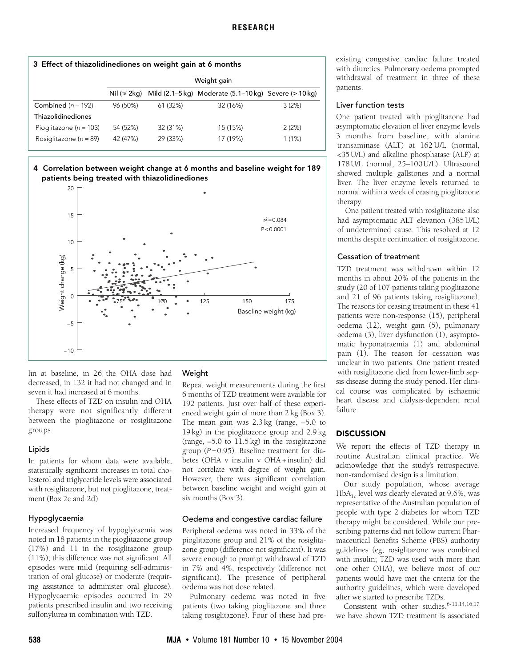<span id="page-2-0"></span>

| 3 Effect of thiazolidinediones on weight gain at 6 months |             |          |                                                                   |        |  |  |  |
|-----------------------------------------------------------|-------------|----------|-------------------------------------------------------------------|--------|--|--|--|
|                                                           | Weight gain |          |                                                                   |        |  |  |  |
|                                                           |             |          | Nil (≤ 2kg) Mild (2.1–5 kg) Moderate (5.1–10 kg) Severe (> 10 kg) |        |  |  |  |
| Combined $(n = 192)$                                      | 96 (50%)    | 61 (32%) | 32 (16%)                                                          | 3(2%)  |  |  |  |
| Thiazolidinediones                                        |             |          |                                                                   |        |  |  |  |
| Pioglitazone ( $n = 103$ )                                | 54 (52%)    | 32 (31%) | 15 (15%)                                                          | 2(2%)  |  |  |  |
| Rosiglitazone ( $n = 89$ )                                | 42 (47%)    | 29 (33%) | 17 (19%)                                                          | 1 (1%) |  |  |  |

<span id="page-2-1"></span>4 **Correlation between weight change at 6 months and baseline weight for 189 patients being treated with thiazolidinediones**



lin at baseline, in 26 the OHA dose had decreased, in 132 it had not changed and in seven it had increased at 6 months.

These effects of TZD on insulin and OHA therapy were not significantly different between the pioglitazone or rosiglitazone groups.

### Lipids

In patients for whom data were available, statistically significant increases in total cholesterol and triglyceride levels were associated with rosiglitazone, but not pioglitazone, treatment ([Box 2c](#page-1-1) and 2d).

### Hypoglycaemia

Increased frequency of hypoglycaemia was noted in 18 patients in the pioglitazone group (17%) and 11 in the rosiglitazone group (11%); this difference was not significant. All episodes were mild (requiring self-administration of oral glucose) or moderate (requiring assistance to administer oral glucose). Hypoglycaemic episodes occurred in 29 patients prescribed insulin and two receiving sulfonylurea in combination with TZD.

# Weight

Repeat weight measurements during the first 6 months of TZD treatment were available for 192 patients. Just over half of these experienced weight gain of more than 2 kg [\(Box 3\)](#page-2-0). The mean gain was 2.3 kg (range, –5.0 to 19 kg) in the pioglitazone group and 2.9 kg (range, –5.0 to 11.5 kg) in the rosiglitazone group  $(P=0.95)$ . Baseline treatment for diabetes (OHA v insulin v OHA + insulin) did not correlate with degree of weight gain. However, there was significant correlation between baseline weight and weight gain at six months [\(Box 3\)](#page-2-1).

### Oedema and congestive cardiac failure

Peripheral oedema was noted in 33% of the pioglitazone group and 21% of the rosiglitazone group (difference not significant). It was severe enough to prompt withdrawal of TZD in 7% and 4%, respectively (difference not significant). The presence of peripheral oedema was not dose related.

Pulmonary oedema was noted in five patients (two taking pioglitazone and three taking rosiglitazone). Four of these had preexisting congestive cardiac failure treated with diuretics. Pulmonary oedema prompted withdrawal of treatment in three of these patients.

#### Liver function tests

One patient treated with pioglitazone had asymptomatic elevation of liver enzyme levels 3 months from baseline, with alanine transaminase (ALT) at 162 U/L (normal, <35 U/L) and alkaline phosphatase (ALP) at 178 U/L (normal, 25–100U/L). Ultrasound showed multiple gallstones and a normal liver. The liver enzyme levels returned to normal within a week of ceasing pioglitazone therapy.

One patient treated with rosiglitazone also had asymptomatic ALT elevation (385 U/L) of undetermined cause. This resolved at 12 months despite continuation of rosiglitazone.

# Cessation of treatment

TZD treatment was withdrawn within 12 months in about 20% of the patients in the study (20 of 107 patients taking pioglitazone and 21 of 96 patients taking rosiglitazone). The reasons for ceasing treatment in these 41 patients were non-response (15), peripheral oedema (12), weight gain (5), pulmonary oedema (3), liver dysfunction (1), asymptomatic hyponatraemia (1) and abdominal pain (1). The reason for cessation was unclear in two patients. One patient treated with rosiglitazone died from lower-limb sepsis disease during the study period. Her clinical course was complicated by ischaemic heart disease and dialysis-dependent renal failure.

# **DISCUSSION**

We report the effects of TZD therapy in routine Australian clinical practice. We acknowledge that the study's retrospective, non-randomised design is a limitation.

Our study population, whose average  $HbA_{1c}$  level was clearly elevated at 9.6%, was representative of the Australian population of people with type 2 diabetes for whom TZD therapy might be considered. While our prescribing patterns did not follow current Pharmaceutical Benefits Scheme (PBS) authority guidelines (eg, rosiglitazone was combined with insulin; TZD was used with more than one other OHA), we believe most of our patients would have met the criteria for the authority guidelines, which were developed after we started to prescribe TZDs.

Consistent with other studies. $6-11,14,16,17$  $6-11,14,16,17$  $6-11,14,16,17$  $6-11,14,16,17$  $6-11,14,16,17$  $6-11,14,16,17$ we have shown TZD treatment is associated